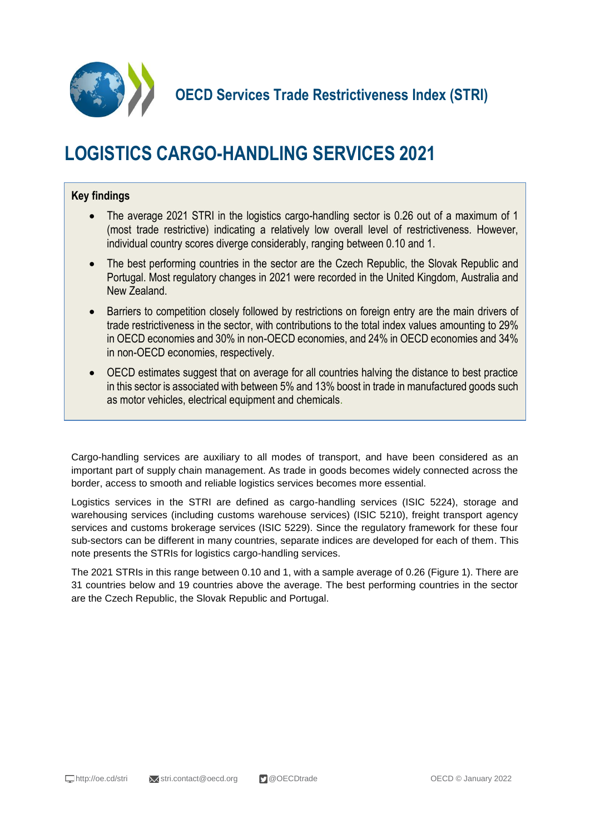

# **LOGISTICS CARGO-HANDLING SERVICES 2021**

### **Key findings**

- The average 2021 STRI in the logistics cargo-handling sector is 0.26 out of a maximum of 1 (most trade restrictive) indicating a relatively low overall level of restrictiveness. However, individual country scores diverge considerably, ranging between 0.10 and 1.
- The best performing countries in the sector are the Czech Republic, the Slovak Republic and Portugal. Most regulatory changes in 2021 were recorded in the United Kingdom, Australia and New Zealand.
- Barriers to competition closely followed by restrictions on foreign entry are the main drivers of trade restrictiveness in the sector, with contributions to the total index values amounting to 29% in OECD economies and 30% in non-OECD economies, and 24% in OECD economies and 34% in non-OECD economies, respectively.
- OECD estimates suggest that on average for all countries halving the distance to best practice in this sector is associated with between 5% and 13% boost in trade in manufactured goods such as motor vehicles, electrical equipment and chemicals.

Cargo-handling services are auxiliary to all modes of transport, and have been considered as an important part of supply chain management. As trade in goods becomes widely connected across the border, access to smooth and reliable logistics services becomes more essential.

Logistics services in the STRI are defined as cargo-handling services (ISIC 5224), storage and warehousing services (including customs warehouse services) (ISIC 5210), freight transport agency services and customs brokerage services (ISIC 5229). Since the regulatory framework for these four sub-sectors can be different in many countries, separate indices are developed for each of them. This note presents the STRIs for logistics cargo-handling services.

The 2021 STRIs in this range between 0.10 and 1, with a sample average of 0.26 (Figure 1). There are 31 countries below and 19 countries above the average. The best performing countries in the sector are the Czech Republic, the Slovak Republic and Portugal.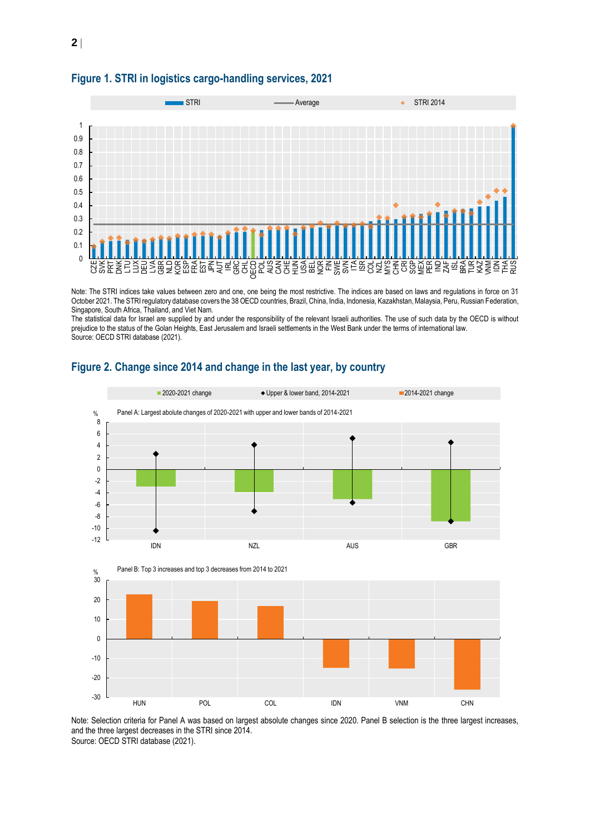

#### **Figure 1. STRI in logistics cargo-handling services, 2021**

Note: The STRI indices take values between zero and one, one being the most restrictive. The indices are based on laws and regulations in force on 31 October 2021. The STRI regulatory database covers the 38 OECD countries, Brazil, China, India, Indonesia, Kazakhstan, Malaysia, Peru, Russian Federation, Singapore, South Africa, Thailand, and Viet Nam.

The statistical data for Israel are supplied by and under the responsibility of the relevant Israeli authorities. The use of such data by the OECD is without prejudice to the status of the Golan Heights, East Jerusalem and Israeli settlements in the West Bank under the terms of international law. Source: OECD STRI database (2021).



#### **Figure 2. Change since 2014 and change in the last year, by country**

Note: Selection criteria for Panel A was based on largest absolute changes since 2020. Panel B selection is the three largest increases, and the three largest decreases in the STRI since 2014. Source: OECD STRI database (2021).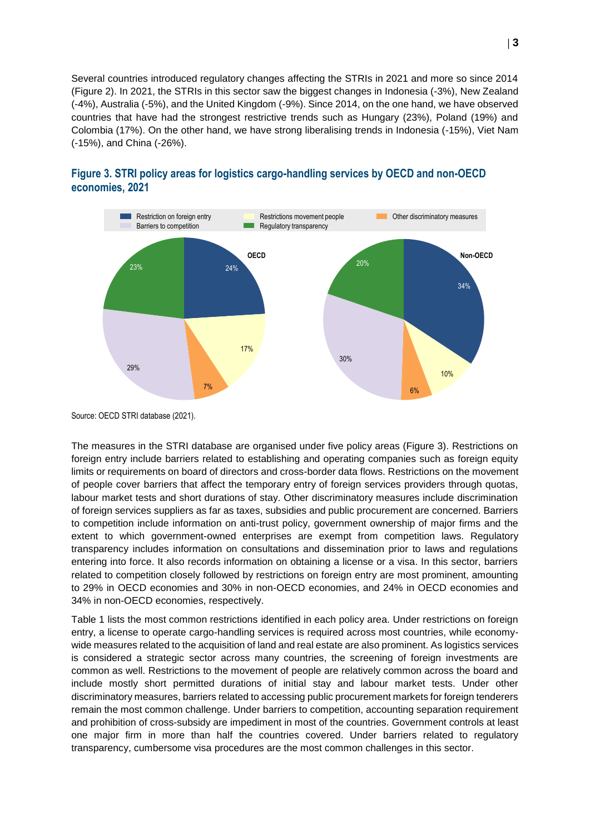Several countries introduced regulatory changes affecting the STRIs in 2021 and more so since 2014 (Figure 2). In 2021, the STRIs in this sector saw the biggest changes in Indonesia (-3%), New Zealand (-4%), Australia (-5%), and the United Kingdom (-9%). Since 2014, on the one hand, we have observed countries that have had the strongest restrictive trends such as Hungary (23%), Poland (19%) and Colombia (17%). On the other hand, we have strong liberalising trends in Indonesia (-15%), Viet Nam (-15%), and China (-26%).



#### **Figure 3. STRI policy areas for logistics cargo-handling services by OECD and non-OECD economies, 2021**

Source: OECD STRI database (2021).

The measures in the STRI database are organised under five policy areas (Figure 3). Restrictions on foreign entry include barriers related to establishing and operating companies such as foreign equity limits or requirements on board of directors and cross-border data flows. Restrictions on the movement of people cover barriers that affect the temporary entry of foreign services providers through quotas, labour market tests and short durations of stay. Other discriminatory measures include discrimination of foreign services suppliers as far as taxes, subsidies and public procurement are concerned. Barriers to competition include information on anti-trust policy, government ownership of major firms and the extent to which government-owned enterprises are exempt from competition laws. Regulatory transparency includes information on consultations and dissemination prior to laws and regulations entering into force. It also records information on obtaining a license or a visa. In this sector, barriers related to competition closely followed by restrictions on foreign entry are most prominent, amounting to 29% in OECD economies and 30% in non-OECD economies, and 24% in OECD economies and 34% in non-OECD economies, respectively.

Table 1 lists the most common restrictions identified in each policy area. Under restrictions on foreign entry, a license to operate cargo-handling services is required across most countries, while economywide measures related to the acquisition of land and real estate are also prominent. As logistics services is considered a strategic sector across many countries, the screening of foreign investments are common as well. Restrictions to the movement of people are relatively common across the board and include mostly short permitted durations of initial stay and labour market tests. Under other discriminatory measures, barriers related to accessing public procurement markets for foreign tenderers remain the most common challenge. Under barriers to competition, accounting separation requirement and prohibition of cross-subsidy are impediment in most of the countries. Government controls at least one major firm in more than half the countries covered. Under barriers related to regulatory transparency, cumbersome visa procedures are the most common challenges in this sector.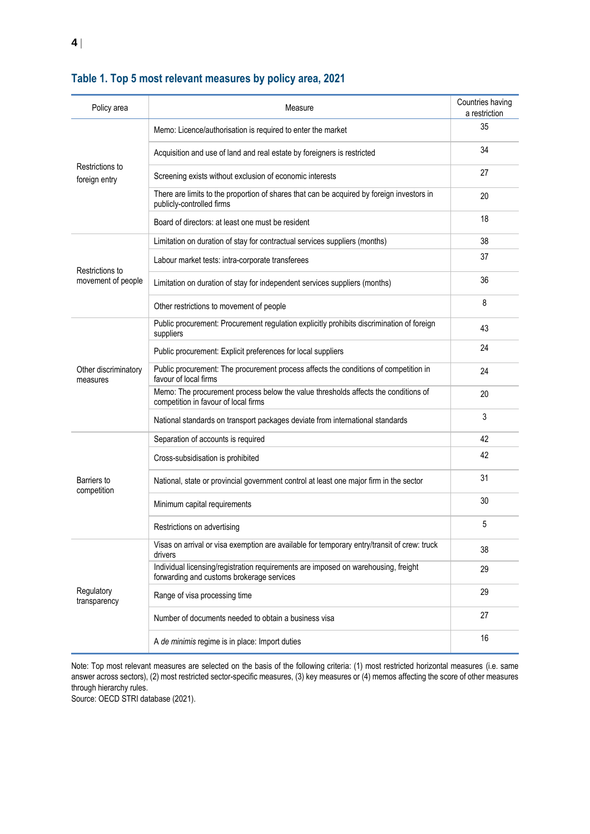| Policy area                           | Measure                                                                                                                         | Countries having<br>a restriction |
|---------------------------------------|---------------------------------------------------------------------------------------------------------------------------------|-----------------------------------|
| Restrictions to<br>foreign entry      | Memo: Licence/authorisation is required to enter the market                                                                     | 35                                |
|                                       | Acquisition and use of land and real estate by foreigners is restricted                                                         | 34                                |
|                                       | Screening exists without exclusion of economic interests                                                                        | 27                                |
|                                       | There are limits to the proportion of shares that can be acquired by foreign investors in<br>publicly-controlled firms          | 20                                |
|                                       | Board of directors: at least one must be resident                                                                               | 18                                |
| Restrictions to<br>movement of people | Limitation on duration of stay for contractual services suppliers (months)                                                      | 38                                |
|                                       | Labour market tests: intra-corporate transferees                                                                                | 37                                |
|                                       | Limitation on duration of stay for independent services suppliers (months)                                                      | 36                                |
|                                       | Other restrictions to movement of people                                                                                        | 8                                 |
| Other discriminatory<br>measures      | Public procurement: Procurement regulation explicitly prohibits discrimination of foreign<br>suppliers                          | 43                                |
|                                       | Public procurement: Explicit preferences for local suppliers                                                                    | 24                                |
|                                       | Public procurement: The procurement process affects the conditions of competition in<br>favour of local firms                   | 24                                |
|                                       | Memo: The procurement process below the value thresholds affects the conditions of<br>competition in favour of local firms      | 20                                |
|                                       | National standards on transport packages deviate from international standards                                                   | 3                                 |
| Barriers to<br>competition            | Separation of accounts is required                                                                                              | 42                                |
|                                       | Cross-subsidisation is prohibited                                                                                               | 42                                |
|                                       | National, state or provincial government control at least one major firm in the sector                                          | 31                                |
|                                       | Minimum capital requirements                                                                                                    | 30                                |
|                                       | Restrictions on advertising                                                                                                     | 5                                 |
| Regulatory<br>transparency            | Visas on arrival or visa exemption are available for temporary entry/transit of crew: truck<br>drivers                          | 38                                |
|                                       | Individual licensing/registration requirements are imposed on warehousing, freight<br>forwarding and customs brokerage services | 29                                |
|                                       | Range of visa processing time                                                                                                   | 29                                |
|                                       | Number of documents needed to obtain a business visa                                                                            | 27                                |
|                                       | A de minimis regime is in place: Import duties                                                                                  | 16                                |

## **Table 1. Top 5 most relevant measures by policy area, 2021**

Note: Top most relevant measures are selected on the basis of the following criteria: (1) most restricted horizontal measures (i.e. same answer across sectors), (2) most restricted sector-specific measures, (3) key measures or (4) memos affecting the score of other measures through hierarchy rules.

Source: OECD STRI database (2021).